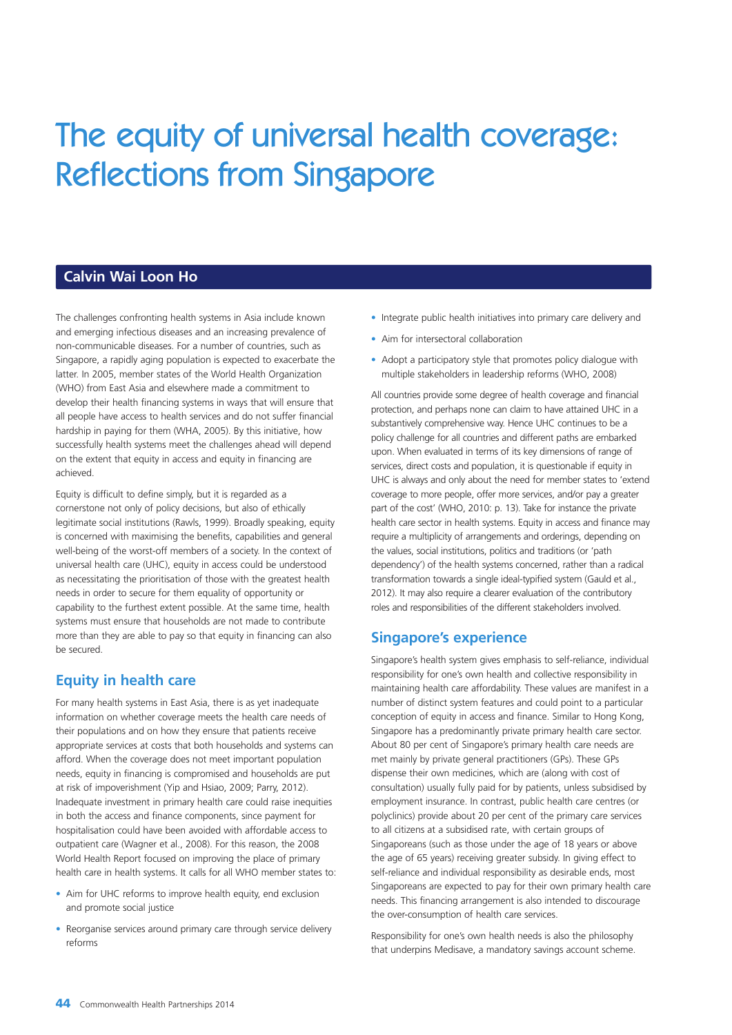# The equity of universal health coverage: Reflections from Singapore

# **Calvin Wai Loon Ho**

The challenges confronting health systems in Asia include known and emerging infectious diseases and an increasing prevalence of non-communicable diseases. For a number of countries, such as Singapore, a rapidly aging population is expected to exacerbate the latter. In 2005, member states of the World Health Organization (WHO) from East Asia and elsewhere made a commitment to develop their health financing systems in ways that will ensure that all people have access to health services and do not suffer financial hardship in paying for them (WHA, 2005). By this initiative, how successfully health systems meet the challenges ahead will depend on the extent that equity in access and equity in financing are achieved.

Equity is difficult to define simply, but it is regarded as a cornerstone not only of policy decisions, but also of ethically legitimate social institutions (Rawls, 1999). Broadly speaking, equity is concerned with maximising the benefits, capabilities and general well-being of the worst-off members of a society. In the context of universal health care (UHC), equity in access could be understood as necessitating the prioritisation of those with the greatest health needs in order to secure for them equality of opportunity or capability to the furthest extent possible. At the same time, health systems must ensure that households are not made to contribute more than they are able to pay so that equity in financing can also be secured.

# **Equity in health care**

For many health systems in East Asia, there is as yet inadequate information on whether coverage meets the health care needs of their populations and on how they ensure that patients receive appropriate services at costs that both households and systems can afford. When the coverage does not meet important population needs, equity in financing is compromised and households are put at risk of impoverishment (Yip and Hsiao, 2009; Parry, 2012). Inadequate investment in primary health care could raise inequities in both the access and finance components, since payment for hospitalisation could have been avoided with affordable access to outpatient care (Wagner et al., 2008). For this reason, the 2008 World Health Report focused on improving the place of primary health care in health systems. It calls for all WHO member states to:

- Aim for UHC reforms to improve health equity, end exclusion and promote social justice
- Reorganise services around primary care through service delivery reforms
- Integrate public health initiatives into primary care delivery and
- Aim for intersectoral collaboration
- Adopt a participatory style that promotes policy dialogue with multiple stakeholders in leadership reforms (WHO, 2008)

All countries provide some degree of health coverage and financial protection, and perhaps none can claim to have attained UHC in a substantively comprehensive way. Hence UHC continues to be a policy challenge for all countries and different paths are embarked upon. When evaluated in terms of its key dimensions of range of services, direct costs and population, it is questionable if equity in UHC is always and only about the need for member states to 'extend coverage to more people, offer more services, and/or pay a greater part of the cost' (WHO, 2010: p. 13). Take for instance the private health care sector in health systems. Equity in access and finance may require a multiplicity of arrangements and orderings, depending on the values, social institutions, politics and traditions (or 'path dependency') of the health systems concerned, rather than a radical transformation towards a single ideal-typified system (Gauld et al., 2012). It may also require a clearer evaluation of the contributory roles and responsibilities of the different stakeholders involved.

# **Singapore's experience**

Singapore's health system gives emphasis to self-reliance, individual responsibility for one's own health and collective responsibility in maintaining health care affordability. These values are manifest in a number of distinct system features and could point to a particular conception of equity in access and finance. Similar to Hong Kong, Singapore has a predominantly private primary health care sector. About 80 per cent of Singapore's primary health care needs are met mainly by private general practitioners (GPs). These GPs dispense their own medicines, which are (along with cost of consultation) usually fully paid for by patients, unless subsidised by employment insurance. In contrast, public health care centres (or polyclinics) provide about 20 per cent of the primary care services to all citizens at a subsidised rate, with certain groups of Singaporeans (such as those under the age of 18 years or above the age of 65 years) receiving greater subsidy. In giving effect to self-reliance and individual responsibility as desirable ends, most Singaporeans are expected to pay for their own primary health care needs. This financing arrangement is also intended to discourage the over-consumption of health care services.

Responsibility for one's own health needs is also the philosophy that underpins Medisave, a mandatory savings account scheme.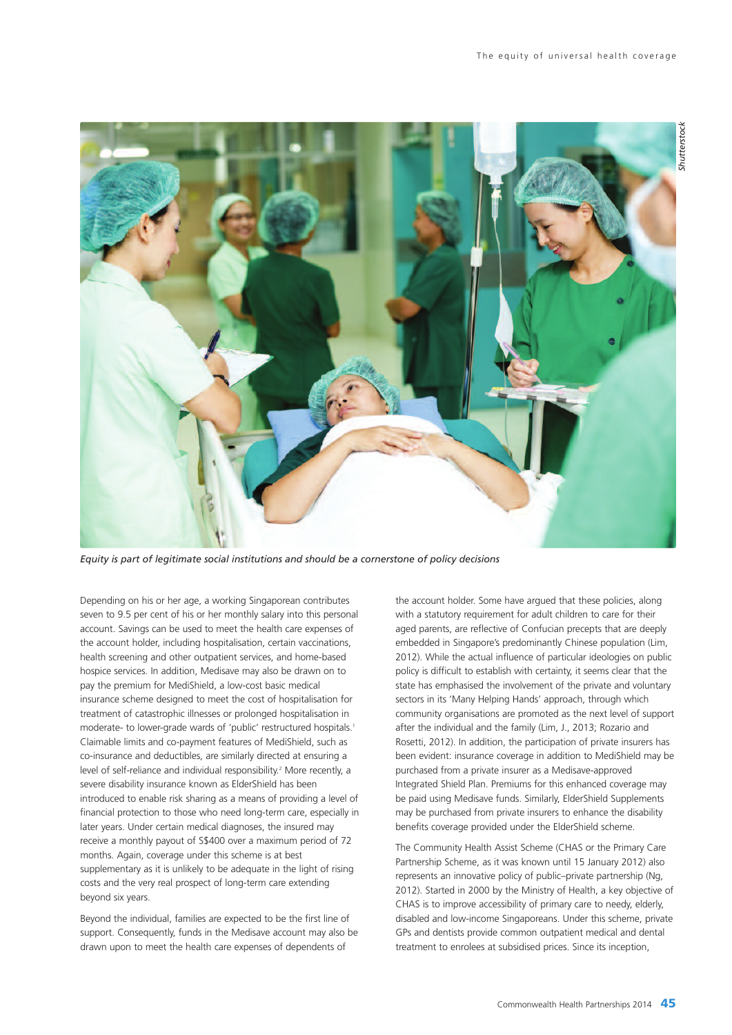

*Equity is part of legitimate social institutions and should be a cornerstone of policy decisions*

Depending on his or her age, a working Singaporean contributes seven to 9.5 per cent of his or her monthly salary into this personal account. Savings can be used to meet the health care expenses of the account holder, including hospitalisation, certain vaccinations, health screening and other outpatient services, and home-based hospice services. In addition, Medisave may also be drawn on to pay the premium for MediShield, a low-cost basic medical insurance scheme designed to meet the cost of hospitalisation for treatment of catastrophic illnesses or prolonged hospitalisation in moderate- to lower-grade wards of 'public' restructured hospitals. 1 Claimable limits and co-payment features of MediShield, such as co-insurance and deductibles, are similarly directed at ensuring a level of self-reliance and individual responsibility. <sup>2</sup> More recently, a severe disability insurance known as ElderShield has been introduced to enable risk sharing as a means of providing a level of financial protection to those who need long-term care, especially in later years. Under certain medical diagnoses, the insured may receive a monthly payout of S\$400 over a maximum period of 72 months. Again, coverage under this scheme is at best supplementary as it is unlikely to be adequate in the light of rising costs and the very real prospect of long-term care extending beyond six years.

Beyond the individual, families are expected to be the first line of support. Consequently, funds in the Medisave account may also be drawn upon to meet the health care expenses of dependents of

the account holder. Some have argued that these policies, along with a statutory requirement for adult children to care for their aged parents, are reflective of Confucian precepts that are deeply embedded in Singapore's predominantly Chinese population (Lim, 2012). While the actual influence of particular ideologies on public policy is difficult to establish with certainty, it seems clear that the state has emphasised the involvement of the private and voluntary sectors in its 'Many Helping Hands' approach, through which community organisations are promoted as the next level of support after the individual and the family (Lim, J., 2013; Rozario and Rosetti, 2012). In addition, the participation of private insurers has been evident: insurance coverage in addition to MediShield may be purchased from a private insurer as a Medisave-approved Integrated Shield Plan. Premiums for this enhanced coverage may be paid using Medisave funds. Similarly, ElderShield Supplements may be purchased from private insurers to enhance the disability benefits coverage provided under the ElderShield scheme.

The Community Health Assist Scheme (CHAS or the Primary Care Partnership Scheme, as it was known until 15 January 2012) also represents an innovative policy of public–private partnership (Ng, 2012). Started in 2000 by the Ministry of Health, a key objective of CHAS is to improve accessibility of primary care to needy, elderly, disabled and low-income Singaporeans. Under this scheme, private GPs and dentists provide common outpatient medical and dental treatment to enrolees at subsidised prices. Since its inception,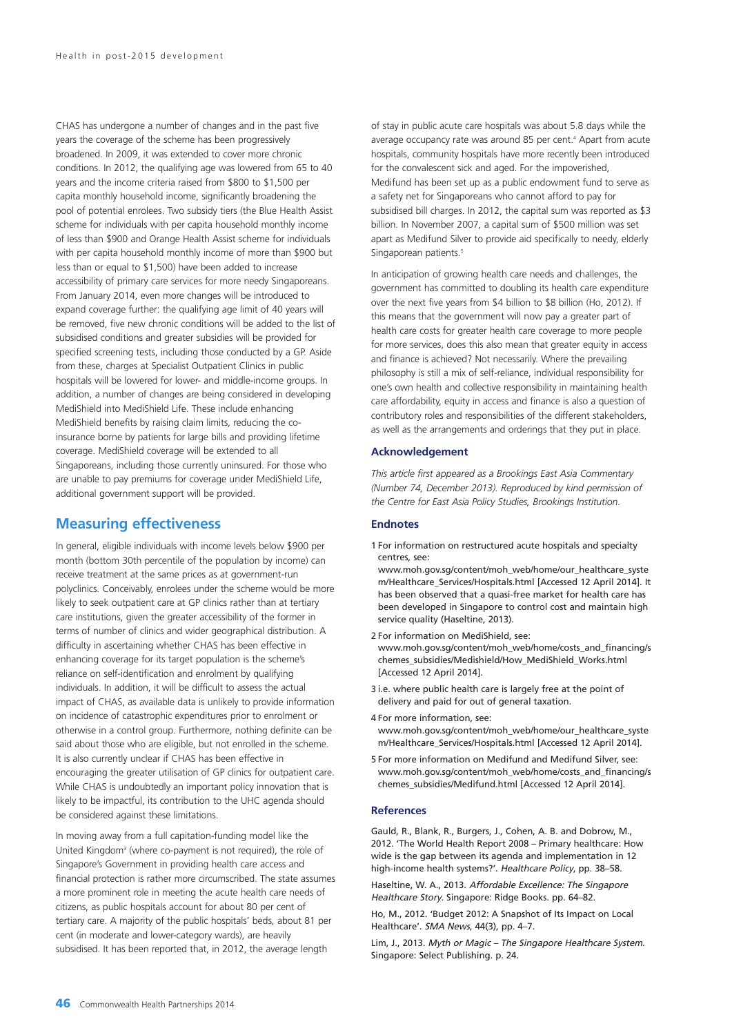CHAS has undergone a number of changes and in the past five years the coverage of the scheme has been progressively broadened. In 2009, it was extended to cover more chronic conditions. In 2012, the qualifying age was lowered from 65 to 40 years and the income criteria raised from \$800 to \$1,500 per capita monthly household income, significantly broadening the pool of potential enrolees. Two subsidy tiers (the Blue Health Assist scheme for individuals with per capita household monthly income of less than \$900 and Orange Health Assist scheme for individuals with per capita household monthly income of more than \$900 but less than or equal to \$1,500) have been added to increase accessibility of primary care services for more needy Singaporeans. From January 2014, even more changes will be introduced to expand coverage further: the qualifying age limit of 40 years will be removed, five new chronic conditions will be added to the list of subsidised conditions and greater subsidies will be provided for specified screening tests, including those conducted by a GP. Aside from these, charges at Specialist Outpatient Clinics in public hospitals will be lowered for lower- and middle-income groups. In addition, a number of changes are being considered in developing MediShield into MediShield Life. These include enhancing MediShield benefits by raising claim limits, reducing the coinsurance borne by patients for large bills and providing lifetime coverage. MediShield coverage will be extended to all Singaporeans, including those currently uninsured. For those who are unable to pay premiums for coverage under MediShield Life, additional government support will be provided.

## **Measuring effectiveness**

In general, eligible individuals with income levels below \$900 per month (bottom 30th percentile of the population by income) can receive treatment at the same prices as at government-run polyclinics. Conceivably, enrolees under the scheme would be more likely to seek outpatient care at GP clinics rather than at tertiary care institutions, given the greater accessibility of the former in terms of number of clinics and wider geographical distribution. A difficulty in ascertaining whether CHAS has been effective in enhancing coverage for its target population is the scheme's reliance on self-identification and enrolment by qualifying individuals. In addition, it will be difficult to assess the actual impact of CHAS, as available data is unlikely to provide information on incidence of catastrophic expenditures prior to enrolment or otherwise in a control group. Furthermore, nothing definite can be said about those who are eligible, but not enrolled in the scheme. It is also currently unclear if CHAS has been effective in encouraging the greater utilisation of GP clinics for outpatient care. While CHAS is undoubtedly an important policy innovation that is likely to be impactful, its contribution to the UHC agenda should be considered against these limitations.

In moving away from a full capitation-funding model like the United Kingdom<sup>3</sup> (where co-payment is not required), the role of Singapore's Government in providing health care access and financial protection is rather more circumscribed. The state assumes a more prominent role in meeting the acute health care needs of citizens, as public hospitals account for about 80 per cent of tertiary care. A majority of the public hospitals' beds, about 81 per cent (in moderate and lower-category wards), are heavily subsidised. It has been reported that, in 2012, the average length

of stay in public acute care hospitals was about 5.8 days while the average occupancy rate was around 85 per cent. <sup>4</sup> Apart from acute hospitals, community hospitals have more recently been introduced for the convalescent sick and aged. For the impoverished, Medifund has been set up as a public endowment fund to serve as a safety net for Singaporeans who cannot afford to pay for subsidised bill charges. In 2012, the capital sum was reported as \$3 billion. In November 2007, a capital sum of \$500 million was set apart as Medifund Silver to provide aid specifically to needy, elderly Singaporean patients. 5

In anticipation of growing health care needs and challenges, the government has committed to doubling its health care expenditure over the next five years from \$4 billion to \$8 billion (Ho, 2012). If this means that the government will now pay a greater part of health care costs for greater health care coverage to more people for more services, does this also mean that greater equity in access and finance is achieved? Not necessarily. Where the prevailing philosophy is still a mix of self-reliance, individual responsibility for one's own health and collective responsibility in maintaining health care affordability, equity in access and finance is also a question of contributory roles and responsibilities of the different stakeholders, as well as the arrangements and orderings that they put in place.

## **Acknowledgement**

*This article first appeared as a Brookings East Asia Commentary (Number 74, December 2013). Reproduced by kind permission of the Centre for East Asia Policy Studies, Brookings Institution.*

#### **Endnotes**

1 For information on restructured acute hospitals and specialty centres, see:

www.moh.gov.sq/content/moh\_web/home/our\_healthcare\_syste m/Healthcare\_Services/Hospitals.html [Accessed 12 April 2014]. It has been observed that a quasi-free market for health care has been developed in Singapore to control cost and maintain high service quality (Haseltine, 2013).

- 2 For information on MediShield, see: www.moh.gov.sg/content/moh\_web/home/costs\_and\_financing/s chemes\_subsidies/Medishield/How\_MediShield\_Works.html [Accessed 12 April 2014].
- 3 i.e. where public health care is largely free at the point of delivery and paid for out of general taxation.
- 4 For more information, see:
- www.moh.gov.sg/content/moh\_web/home/our\_healthcare\_syste m/Healthcare\_Services/Hospitals.html [Accessed 12 April 2014].
- 5 For more information on Medifund and Medifund Silver, see: www.moh.gov.sg/content/moh\_web/home/costs\_and\_financing/s chemes\_subsidies/Medifund.html [Accessed 12 April 2014].

### **References**

Gauld, R., Blank, R., Burgers, J., Cohen, A. B. and Dobrow, M., 2012. 'The World Health Report 2008 – Primary healthcare: How wide is the gap between its agenda and implementation in 12 high-income health systems?'. Healthcare Policy, pp. 38-58.

Haseltine, W. A., 2013. Affordable Excellence: The Singapore Healthcare Story. Singapore: Ridge Books. pp. 64–82.

Ho, M., 2012. 'Budget 2012: A Snapshot of Its Impact on Local Healthcare'. SMA News, 44(3), pp. 4–7.

Lim, J., 2013. Myth or Magic – The Singapore Healthcare System. Singapore: Select Publishing. p. 24.